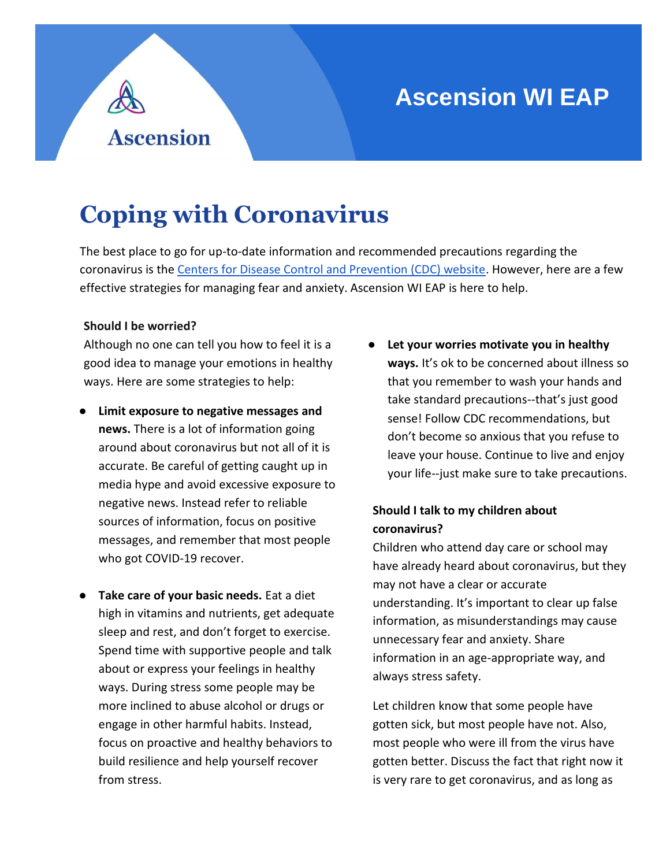## **Ascension WI EAP**



# **Coping with Coronavirus**

The best place to go for up-to-date information and recommended precautions regarding the coronavirus is the [Centers for Disease Control and Prevention \(CDC\) website.](https://www.cdc.gov/coronavirus/2019-ncov/index.html) However, here are a few effective strategies for managing fear and anxiety. Ascension WI EAP is here to help.

#### **Should I be worried?**

Although no one can tell you how to feel it is a good idea to manage your emotions in healthy ways. Here are some strategies to help:

- **Limit exposure to negative messages and news.** There is a lot of information going around about coronavirus but not all of it is accurate. Be careful of getting caught up in media hype and avoid excessive exposure to negative news. Instead refer to reliable sources of information, focus on positive messages, and remember that most people who got COVID-19 recover.
- **Take care of your basic needs.** Eat a diet high in vitamins and nutrients, get adequate sleep and rest, and don't forget to exercise. Spend time with supportive people and talk about or express your feelings in healthy ways. During stress some people may be more inclined to abuse alcohol or drugs or engage in other harmful habits. Instead, focus on proactive and healthy behaviors to build resilience and help yourself recover from stress.

● **Let your worries motivate you in healthy ways.** It's ok to be concerned about illness so that you remember to wash your hands and take standard precautions--that's just good sense! Follow CDC recommendations, but don't become so anxious that you refuse to leave your house. Continue to live and enjoy your life--just make sure to take precautions.

#### **Should I talk to my children about coronavirus?**

Children who attend day care or school may have already heard about coronavirus, but they may not have a clear or accurate understanding. It's important to clear up false information, as misunderstandings may cause unnecessary fear and anxiety. Share information in an age-appropriate way, and always stress safety.

Let children know that some people have gotten sick, but most people have not. Also, most people who were ill from the virus have gotten better. Discuss the fact that right now it is very rare to get coronavirus, and as long as